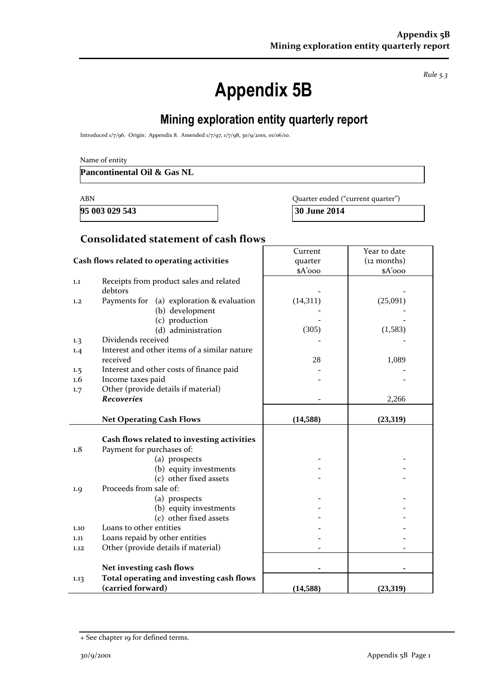*Rule 5.3*

# **Appendix 5B**

## **Mining exploration entity quarterly report**

Introduced 1/7/96. Origin: Appendix 8. Amended 1/7/97, 1/7/98, 30/9/2001, 01/06/10.

| Name of entity |  |  |
|----------------|--|--|
|----------------|--|--|

**Pancontinental Oil & Gas NL**

**95 003 029 543 30 June 2014**

ABN Quarter ended ("current quarter")

#### **Consolidated statement of cash flows**

|                                            |                                              | Current   | Year to date  |
|--------------------------------------------|----------------------------------------------|-----------|---------------|
| Cash flows related to operating activities |                                              | quarter   | $(12$ months) |
|                                            |                                              | \$A'ooo   | $A'$ 000      |
| 1.1                                        | Receipts from product sales and related      |           |               |
|                                            | debtors                                      |           |               |
| 1,2                                        | Payments for (a) exploration & evaluation    | (14,311)  | (25,091)      |
|                                            | (b) development                              |           |               |
|                                            | (c) production                               |           |               |
|                                            | (d) administration                           | (305)     | (1,583)       |
| 1.3                                        | Dividends received                           |           |               |
| 1.4                                        | Interest and other items of a similar nature |           |               |
|                                            | received                                     | 28        | 1,089         |
| 1.5                                        | Interest and other costs of finance paid     |           |               |
| 1.6                                        | Income taxes paid                            |           |               |
| 1.7                                        | Other (provide details if material)          |           |               |
|                                            | <b>Recoveries</b>                            |           | 2,266         |
|                                            |                                              |           |               |
|                                            | <b>Net Operating Cash Flows</b>              | (14, 588) | (23,319)      |
|                                            |                                              |           |               |
|                                            | Cash flows related to investing activities   |           |               |
| 1.8                                        | Payment for purchases of:                    |           |               |
|                                            | (a) prospects                                |           |               |
|                                            | (b) equity investments                       |           |               |
|                                            | (c) other fixed assets                       |           |               |
| 1.9                                        | Proceeds from sale of:                       |           |               |
|                                            | (a) prospects                                |           |               |
|                                            | (b) equity investments                       |           |               |
|                                            | (c) other fixed assets                       |           |               |
| 1.10                                       | Loans to other entities                      |           |               |
| 1.11                                       | Loans repaid by other entities               |           |               |
| 1.12                                       | Other (provide details if material)          |           |               |
|                                            |                                              |           |               |
|                                            | Net investing cash flows                     |           |               |
| 1.13                                       | Total operating and investing cash flows     |           |               |
|                                            | (carried forward)                            | (14, 588) | (23,319)      |

<sup>+</sup> See chapter 19 for defined terms.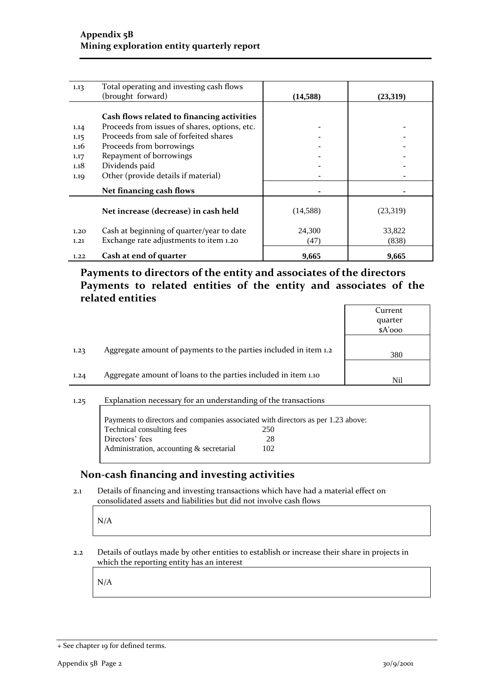| 1.13 | Total operating and investing cash flows      |           |          |
|------|-----------------------------------------------|-----------|----------|
|      | (brought forward)                             | (14, 588) | (23,319) |
|      |                                               |           |          |
|      | Cash flows related to financing activities    |           |          |
| 1.14 | Proceeds from issues of shares, options, etc. |           |          |
| 1.15 | Proceeds from sale of forfeited shares        |           |          |
| 1.16 | Proceeds from borrowings                      |           |          |
| 1.17 | Repayment of borrowings                       |           |          |
| 1.18 | Dividends paid                                |           |          |
| 1.19 | Other (provide details if material)           |           |          |
|      | Net financing cash flows                      |           |          |
|      | Net increase (decrease) in cash held          | (14, 588) | (23,319) |
| 1.20 | Cash at beginning of quarter/year to date     | 24,300    | 33,822   |
| 1.21 | Exchange rate adjustments to item 1.20        | (47)      | (838)    |
| 1.22 | Cash at end of quarter                        | 9,665     | 9,665    |

**Payments to directors of the entity and associates of the directors Payments to related entities of the entity and associates of the related entities**

|      |                                                                  | Current |
|------|------------------------------------------------------------------|---------|
|      |                                                                  | quarter |
|      |                                                                  | \$A'ooo |
|      |                                                                  |         |
| 1.23 | Aggregate amount of payments to the parties included in item 1.2 | 380     |
|      |                                                                  |         |
| 1.24 | Aggregate amount of loans to the parties included in item 1.10   | Nil     |
|      |                                                                  |         |

#### 1.25 Explanation necessary for an understanding of the transactions

|                                             | Payments to directors and companies associated with directors as per 1.23 above: |
|---------------------------------------------|----------------------------------------------------------------------------------|
| Technical consulting fees                   | 250                                                                              |
| Directors' fees                             | 28                                                                               |
| Administration, accounting $\&$ secretarial | 102                                                                              |

### **Non-cash financing and investing activities**

2.1 Details of financing and investing transactions which have had a material effect on consolidated assets and liabilities but did not involve cash flows

N/A

2.2 Details of outlays made by other entities to establish or increase their share in projects in which the reporting entity has an interest

N/A

<sup>+</sup> See chapter 19 for defined terms.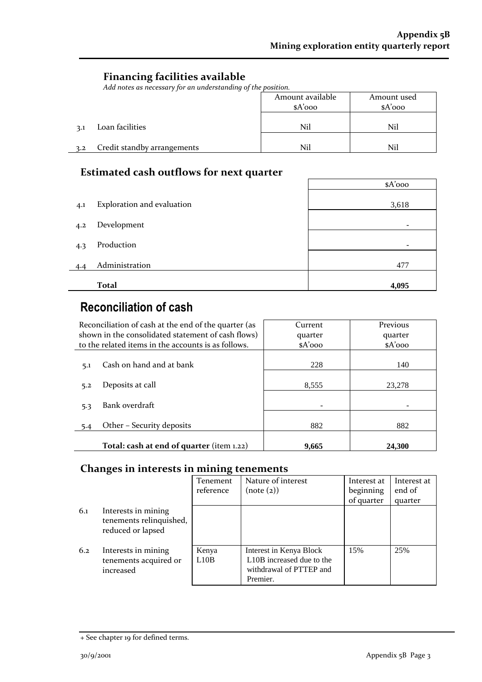## **Financing facilities available**

*Add notes as necessary for an understanding of the position.*

|     |                             | Amount available<br>$A'$ 000 | Amount used<br>$A'$ 000 |
|-----|-----------------------------|------------------------------|-------------------------|
| 3.1 | Loan facilities             | Nil                          | Nil                     |
| 3.2 | Credit standby arrangements | Nil                          | Nil                     |

## **Estimated cash outflows for next quarter**

|     |                            | $A'$ 000 |
|-----|----------------------------|----------|
|     |                            |          |
| 4.1 | Exploration and evaluation | 3,618    |
|     |                            |          |
| 4.2 | Development                |          |
|     |                            |          |
| 4.3 | Production                 |          |
|     |                            |          |
| 4.4 | Administration             | 477      |
|     |                            |          |
|     | <b>Total</b>               | 4,095    |

## **Reconciliation of cash**

| Reconciliation of cash at the end of the quarter (as | Current  | Previous |
|------------------------------------------------------|----------|----------|
| shown in the consolidated statement of cash flows)   | quarter  | quarter  |
| to the related items in the accounts is as follows.  | $A'$ 000 | $A'$ ooo |
|                                                      |          |          |
| Cash on hand and at bank<br>5.1                      | 228      | 140      |
|                                                      |          |          |
| Deposits at call<br>5.2                              | 8.555    | 23,278   |
|                                                      |          |          |
| Bank overdraft<br>5.3                                |          |          |
|                                                      |          |          |
| Other - Security deposits<br>5.4                     | 882      | 882      |
|                                                      |          |          |
| Total: cash at end of quarter (item 1.22)            | 9.665    | 24.300   |

### **Changes in interests in mining tenements**

|     |                                                                     | Tenement<br>reference | Nature of interest<br>(note (2))                                                            | Interest at<br>beginning<br>of quarter | Interest at<br>end of<br>quarter |
|-----|---------------------------------------------------------------------|-----------------------|---------------------------------------------------------------------------------------------|----------------------------------------|----------------------------------|
| 6.1 | Interests in mining<br>tenements relinquished,<br>reduced or lapsed |                       |                                                                                             |                                        |                                  |
| 6.2 | Interests in mining<br>tenements acquired or<br>increased           | Kenya<br>L10B         | Interest in Kenya Block<br>L10B increased due to the<br>withdrawal of PTTEP and<br>Premier. | 15%                                    | 25%                              |

<sup>+</sup> See chapter 19 for defined terms.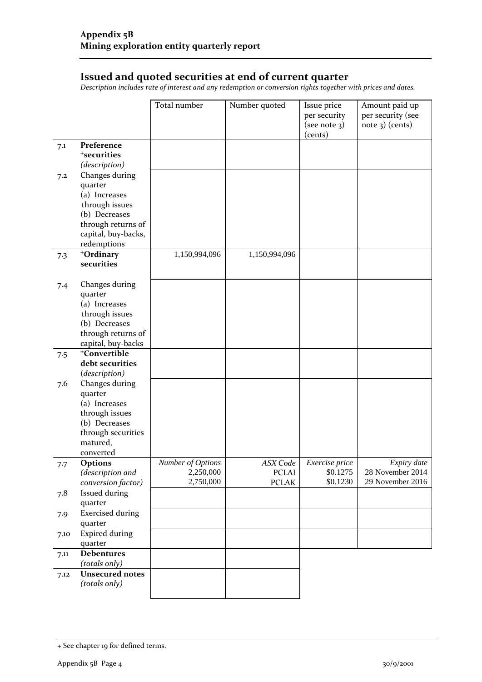## **Issued and quoted securities at end of current quarter**

*Description includes rate of interest and any redemption or conversion rights together with prices and dates.*

|      |                                     | Total number      | Number quoted | Issue price<br>per security | Amount paid up<br>per security (see |
|------|-------------------------------------|-------------------|---------------|-----------------------------|-------------------------------------|
|      |                                     |                   |               | (see note 3)<br>(cents)     | $note$ 3) (cents)                   |
| 7.1  | Preference                          |                   |               |                             |                                     |
|      | <sup>+</sup> securities             |                   |               |                             |                                     |
|      | (description)                       |                   |               |                             |                                     |
| 7.2  | Changes during<br>quarter           |                   |               |                             |                                     |
|      | (a) Increases                       |                   |               |                             |                                     |
|      | through issues                      |                   |               |                             |                                     |
|      | (b) Decreases                       |                   |               |                             |                                     |
|      | through returns of                  |                   |               |                             |                                     |
|      | capital, buy-backs,                 |                   |               |                             |                                     |
|      | redemptions                         |                   |               |                             |                                     |
| 7.3  | +Ordinary                           | 1,150,994,096     | 1,150,994,096 |                             |                                     |
|      | securities                          |                   |               |                             |                                     |
| 7.4  | Changes during                      |                   |               |                             |                                     |
|      | quarter                             |                   |               |                             |                                     |
|      | (a) Increases                       |                   |               |                             |                                     |
|      | through issues                      |                   |               |                             |                                     |
|      | (b) Decreases<br>through returns of |                   |               |                             |                                     |
|      | capital, buy-backs                  |                   |               |                             |                                     |
| 7.5  | <sup>+</sup> Convertible            |                   |               |                             |                                     |
|      | debt securities                     |                   |               |                             |                                     |
|      | (description)                       |                   |               |                             |                                     |
| 7.6  | Changes during                      |                   |               |                             |                                     |
|      | quarter                             |                   |               |                             |                                     |
|      | (a) Increases                       |                   |               |                             |                                     |
|      | through issues                      |                   |               |                             |                                     |
|      | (b) Decreases<br>through securities |                   |               |                             |                                     |
|      | matured,                            |                   |               |                             |                                     |
|      | converted                           |                   |               |                             |                                     |
| 7.7  | Options                             | Number of Options | ASX Code      | <i>Exercise price</i>       | Expiry date                         |
|      | (description and                    | 2,250,000         | <b>PCLAI</b>  | \$0.1275                    | 28 November 2014                    |
|      | conversion factor)                  | 2,750,000         | <b>PCLAK</b>  | \$0.1230                    | 29 November 2016                    |
| 7.8  | Issued during                       |                   |               |                             |                                     |
|      | quarter                             |                   |               |                             |                                     |
| 7.9  | <b>Exercised during</b>             |                   |               |                             |                                     |
|      | quarter                             |                   |               |                             |                                     |
| 7.10 | <b>Expired during</b><br>quarter    |                   |               |                             |                                     |
| 7.11 | <b>Debentures</b>                   |                   |               |                             |                                     |
|      | (totals only)                       |                   |               |                             |                                     |
| 7.12 | <b>Unsecured notes</b>              |                   |               |                             |                                     |
|      | (totals only)                       |                   |               |                             |                                     |
|      |                                     |                   |               |                             |                                     |

<sup>+</sup> See chapter 19 for defined terms.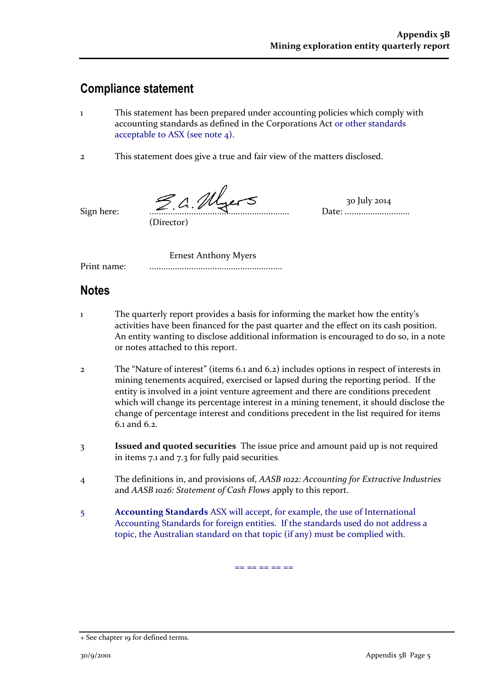## **Compliance statement**

- 1 This statement has been prepared under accounting policies which comply with accounting standards as defined in the Corporations Act or other standards acceptable to ASX (see note 4).
- 2 This statement does give a true and fair view of the matters disclosed.

Sign here: ............................................................ Date: ............................

(Director)

30 July 2014

Ernest Anthony Myers

Print name: .........................................................

## **Notes**

- 1 The quarterly report provides a basis for informing the market how the entity's activities have been financed for the past quarter and the effect on its cash position. An entity wanting to disclose additional information is encouraged to do so, in a note or notes attached to this report.
- 2 The "Nature of interest" (items 6.1 and 6.2) includes options in respect of interests in mining tenements acquired, exercised or lapsed during the reporting period. If the entity is involved in a joint venture agreement and there are conditions precedent which will change its percentage interest in a mining tenement, it should disclose the change of percentage interest and conditions precedent in the list required for items 6.1 and 6.2.
- 3 **Issued and quoted securities** The issue price and amount paid up is not required in items 7.1 and 7.3 for fully paid securities*.*
- 4 The definitions in, and provisions of, *AASB 1022: Accounting for Extractive Industries*  and *AASB 1026: Statement of Cash Flows* apply to this report.
- 5 **Accounting Standards** ASX will accept, for example, the use of International Accounting Standards for foreign entities. If the standards used do not address a topic, the Australian standard on that topic (if any) must be complied with.

== == == == ==

<sup>+</sup> See chapter 19 for defined terms.